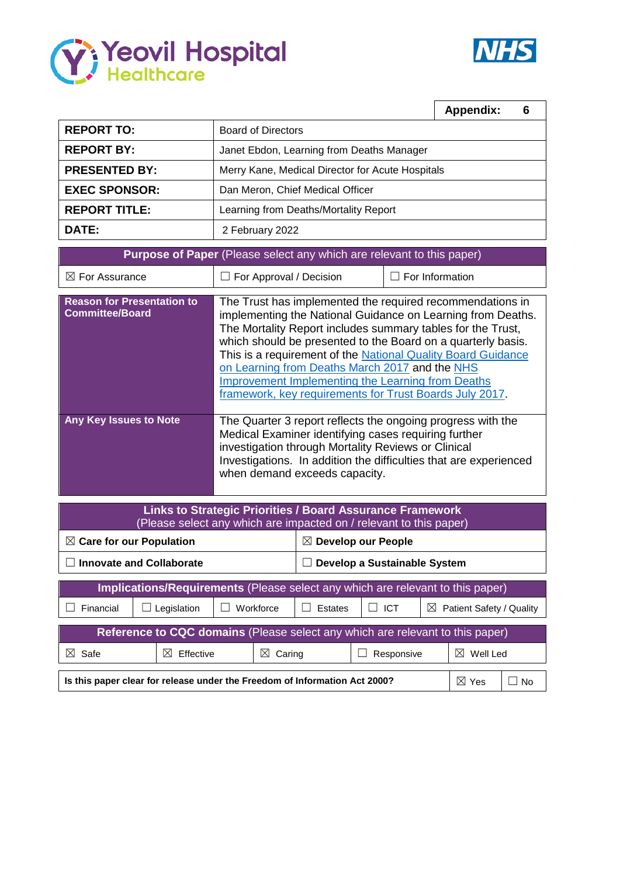



|                                                                       |                                                                                                                                                                                                                                                                                                                                                                                                                                                                                                  | <b>Appendix:</b><br>6 |  |  |  |  |  |  |  |  |  |
|-----------------------------------------------------------------------|--------------------------------------------------------------------------------------------------------------------------------------------------------------------------------------------------------------------------------------------------------------------------------------------------------------------------------------------------------------------------------------------------------------------------------------------------------------------------------------------------|-----------------------|--|--|--|--|--|--|--|--|--|
| <b>REPORT TO:</b>                                                     | <b>Board of Directors</b>                                                                                                                                                                                                                                                                                                                                                                                                                                                                        |                       |  |  |  |  |  |  |  |  |  |
| <b>REPORT BY:</b>                                                     | Janet Ebdon, Learning from Deaths Manager                                                                                                                                                                                                                                                                                                                                                                                                                                                        |                       |  |  |  |  |  |  |  |  |  |
| <b>PRESENTED BY:</b>                                                  | Merry Kane, Medical Director for Acute Hospitals                                                                                                                                                                                                                                                                                                                                                                                                                                                 |                       |  |  |  |  |  |  |  |  |  |
| <b>EXEC SPONSOR:</b>                                                  | Dan Meron, Chief Medical Officer                                                                                                                                                                                                                                                                                                                                                                                                                                                                 |                       |  |  |  |  |  |  |  |  |  |
| <b>REPORT TITLE:</b>                                                  | Learning from Deaths/Mortality Report                                                                                                                                                                                                                                                                                                                                                                                                                                                            |                       |  |  |  |  |  |  |  |  |  |
| DATE:                                                                 | 2 February 2022                                                                                                                                                                                                                                                                                                                                                                                                                                                                                  |                       |  |  |  |  |  |  |  |  |  |
| Purpose of Paper (Please select any which are relevant to this paper) |                                                                                                                                                                                                                                                                                                                                                                                                                                                                                                  |                       |  |  |  |  |  |  |  |  |  |
| $\boxtimes$ For Assurance                                             | For Approval / Decision                                                                                                                                                                                                                                                                                                                                                                                                                                                                          | For Information       |  |  |  |  |  |  |  |  |  |
| <b>Reason for Presentation to</b><br><b>Committee/Board</b>           | The Trust has implemented the required recommendations in<br>implementing the National Guidance on Learning from Deaths.<br>The Mortality Report includes summary tables for the Trust,<br>which should be presented to the Board on a quarterly basis.<br>This is a requirement of the National Quality Board Guidance<br>on Learning from Deaths March 2017 and the NHS<br><b>Improvement Implementing the Learning from Deaths</b><br>framework, key requirements for Trust Boards July 2017. |                       |  |  |  |  |  |  |  |  |  |
| Any Key Issues to Note                                                | The Quarter 3 report reflects the ongoing progress with the<br>Medical Examiner identifying cases requiring further                                                                                                                                                                                                                                                                                                                                                                              |                       |  |  |  |  |  |  |  |  |  |

investigation through Mortality Reviews or Clinical Investigations. In addition the difficulties that are experienced when demand exceeds capacity.

| <b>Links to Strategic Priorities / Board Assurance Framework</b><br>(Please select any which are impacted on / relevant to this paper) |                                |                        |   |                       |         |  |                      |                                         |                      |  |  |  |  |
|----------------------------------------------------------------------------------------------------------------------------------------|--------------------------------|------------------------|---|-----------------------|---------|--|----------------------|-----------------------------------------|----------------------|--|--|--|--|
| $\boxtimes$ Care for our Population                                                                                                    | <b>Develop our People</b><br>M |                        |   |                       |         |  |                      |                                         |                      |  |  |  |  |
| <b>Innovate and Collaborate</b>                                                                                                        | Develop a Sustainable System   |                        |   |                       |         |  |                      |                                         |                      |  |  |  |  |
| Implications/Requirements (Please select any which are relevant to this paper)                                                         |                                |                        |   |                       |         |  |                      |                                         |                      |  |  |  |  |
| Financial                                                                                                                              |                                | Legislation            | L | Workforce             | Estates |  | <b>ICT</b><br>$\Box$ | Patient Safety / Quality<br>$\boxtimes$ |                      |  |  |  |  |
| Reference to CQC domains (Please select any which are relevant to this paper)                                                          |                                |                        |   |                       |         |  |                      |                                         |                      |  |  |  |  |
| $\boxtimes$<br>Safe                                                                                                                    |                                | $\bowtie$<br>Effective |   | $\boxtimes$<br>Caring |         |  | Responsive           |                                         | $\boxtimes$ Well Led |  |  |  |  |
| Is this paper clear for release under the Freedom of Information Act 2000?                                                             | $\boxtimes$ Yes                | N∩                     |   |                       |         |  |                      |                                         |                      |  |  |  |  |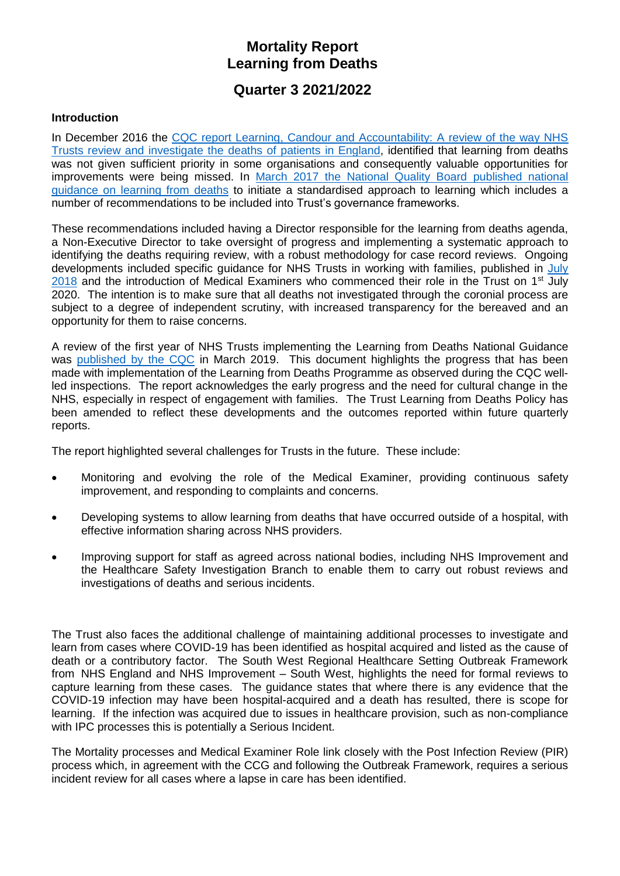# **Mortality Report Learning from Deaths**

## **Quarter 3 2021/2022**

#### **Introduction**

In December 2016 the [CQC report Learning, Candour and Accountability: A review of the way NHS](https://www.cqc.org.uk/sites/default/files/20161212-learning-candour-accountability-summary.pdf)  [Trusts review and investigate the](https://www.cqc.org.uk/sites/default/files/20161212-learning-candour-accountability-summary.pdf) deaths of patients in England, identified that learning from deaths was not given sufficient priority in some organisations and consequently valuable opportunities for improvements were being missed. In [March 2017 the National Quality Board published national](https://www.england.nhs.uk/wp-content/uploads/2017/03/nqb-national-guidance-learning-from-deaths.pdf)  [guidance on learning from deaths](https://www.england.nhs.uk/wp-content/uploads/2017/03/nqb-national-guidance-learning-from-deaths.pdf) to initiate a standardised approach to learning which includes a number of recommendations to be included into Trust's governance frameworks.

These recommendations included having a Director responsible for the learning from deaths agenda, a Non-Executive Director to take oversight of progress and implementing a systematic approach to identifying the deaths requiring review, with a robust methodology for case record reviews. Ongoing developments included specific guidance for NHS Trusts in working with families, published in [July](https://www.england.nhs.uk/wp-content/uploads/2018/08/learning-from-deaths-working-with-families-v2.pdf)  $2018$  and the introduction of Medical Examiners who commenced their role in the Trust on 1<sup>st</sup> July 2020. The intention is to make sure that all deaths not investigated through the coronial process are subject to a degree of independent scrutiny, with increased transparency for the bereaved and an opportunity for them to raise concerns.

A review of the first year of NHS Trusts implementing the Learning from Deaths National Guidance was [published by the CQC](https://www.cqc.org.uk/publications/themed-work/learning-deaths) in March 2019. This document highlights the progress that has been made with implementation of the Learning from Deaths Programme as observed during the CQC wellled inspections. The report acknowledges the early progress and the need for cultural change in the NHS, especially in respect of engagement with families. The Trust Learning from Deaths Policy has been amended to reflect these developments and the outcomes reported within future quarterly reports.

The report highlighted several challenges for Trusts in the future. These include:

- Monitoring and evolving the role of the Medical Examiner, providing continuous safety improvement, and responding to complaints and concerns.
- Developing systems to allow learning from deaths that have occurred outside of a hospital, with effective information sharing across NHS providers.
- Improving support for staff as agreed across national bodies, including NHS Improvement and the Healthcare Safety Investigation Branch to enable them to carry out robust reviews and investigations of deaths and serious incidents.

The Trust also faces the additional challenge of maintaining additional processes to investigate and learn from cases where COVID-19 has been identified as hospital acquired and listed as the cause of death or a contributory factor. The South West Regional Healthcare Setting Outbreak Framework from NHS England and NHS Improvement – South West, highlights the need for formal reviews to capture learning from these cases. The guidance states that where there is any evidence that the COVID-19 infection may have been hospital-acquired and a death has resulted, there is scope for learning. If the infection was acquired due to issues in healthcare provision, such as non-compliance with IPC processes this is potentially a Serious Incident.

The Mortality processes and Medical Examiner Role link closely with the Post Infection Review (PIR) process which, in agreement with the CCG and following the Outbreak Framework, requires a serious incident review for all cases where a lapse in care has been identified.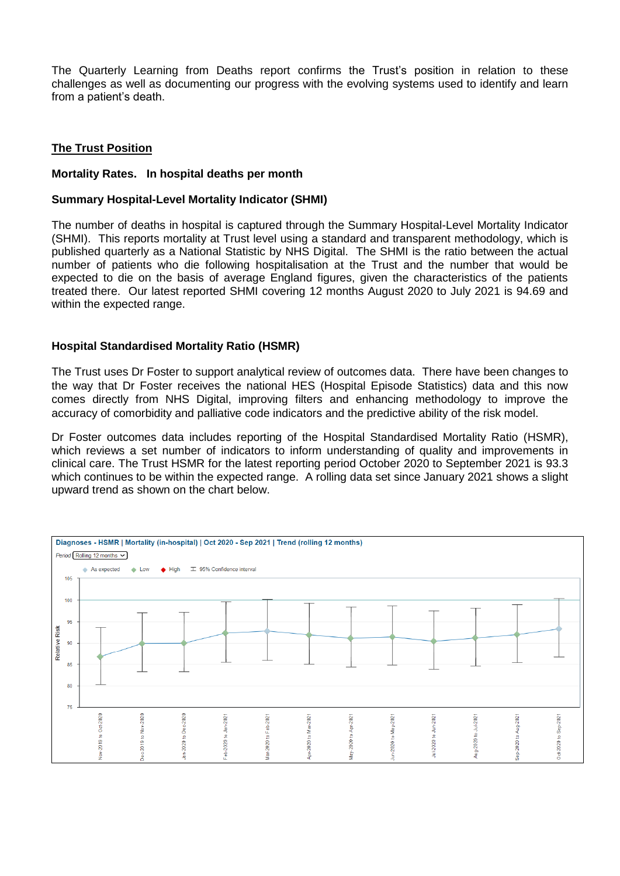The Quarterly Learning from Deaths report confirms the Trust's position in relation to these challenges as well as documenting our progress with the evolving systems used to identify and learn from a patient's death.

#### **The Trust Position**

#### **Mortality Rates. In hospital deaths per month**

#### **Summary Hospital-Level Mortality Indicator (SHMI)**

The number of deaths in hospital is captured through the Summary Hospital-Level Mortality Indicator (SHMI). This reports mortality at Trust level using a standard and transparent methodology, which is published quarterly as a National Statistic by NHS Digital. The SHMI is the ratio between the actual number of patients who die following hospitalisation at the Trust and the number that would be expected to die on the basis of average England figures, given the characteristics of the patients treated there. Our latest reported SHMI covering 12 months August 2020 to July 2021 is 94.69 and within the expected range.

#### **Hospital Standardised Mortality Ratio (HSMR)**

The Trust uses Dr Foster to support analytical review of outcomes data. There have been changes to the way that Dr Foster receives the national HES (Hospital Episode Statistics) data and this now comes directly from NHS Digital, improving filters and enhancing methodology to improve the accuracy of comorbidity and palliative code indicators and the predictive ability of the risk model.

Dr Foster outcomes data includes reporting of the Hospital Standardised Mortality Ratio (HSMR), which reviews a set number of indicators to inform understanding of quality and improvements in clinical care. The Trust HSMR for the latest reporting period October 2020 to September 2021 is 93.3 which continues to be within the expected range. A rolling data set since January 2021 shows a slight upward trend as shown on the chart below.

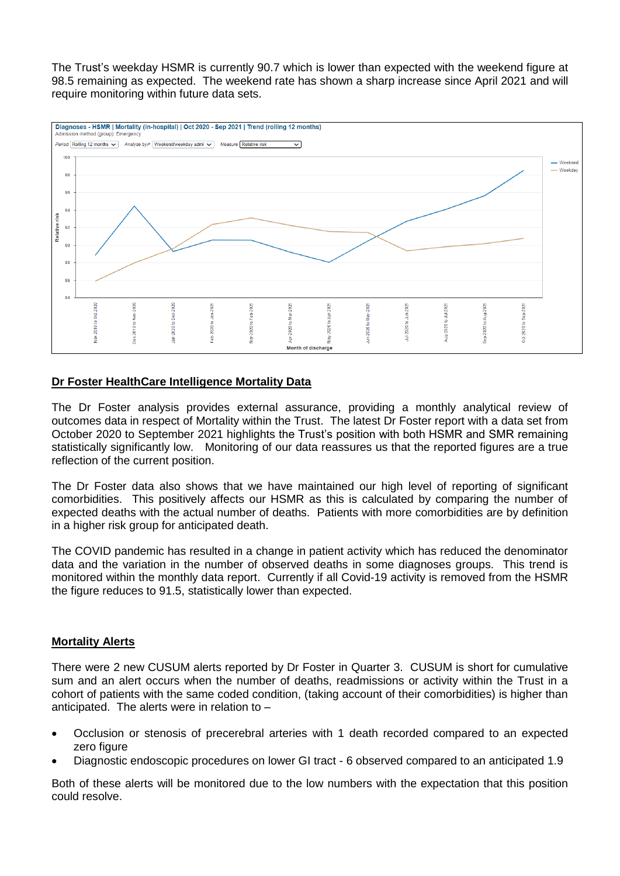The Trust's weekday HSMR is currently 90.7 which is lower than expected with the weekend figure at 98.5 remaining as expected. The weekend rate has shown a sharp increase since April 2021 and will require monitoring within future data sets.



#### **Dr Foster HealthCare Intelligence Mortality Data**

The Dr Foster analysis provides external assurance, providing a monthly analytical review of outcomes data in respect of Mortality within the Trust. The latest Dr Foster report with a data set from October 2020 to September 2021 highlights the Trust's position with both HSMR and SMR remaining statistically significantly low. Monitoring of our data reassures us that the reported figures are a true reflection of the current position.

The Dr Foster data also shows that we have maintained our high level of reporting of significant comorbidities. This positively affects our HSMR as this is calculated by comparing the number of expected deaths with the actual number of deaths. Patients with more comorbidities are by definition in a higher risk group for anticipated death.

The COVID pandemic has resulted in a change in patient activity which has reduced the denominator data and the variation in the number of observed deaths in some diagnoses groups. This trend is monitored within the monthly data report. Currently if all Covid-19 activity is removed from the HSMR the figure reduces to 91.5, statistically lower than expected.

#### **Mortality Alerts**

There were 2 new CUSUM alerts reported by Dr Foster in Quarter 3. CUSUM is short for cumulative sum and an alert occurs when the number of deaths, readmissions or activity within the Trust in a cohort of patients with the same coded condition, (taking account of their comorbidities) is higher than anticipated. The alerts were in relation to –

- Occlusion or stenosis of precerebral arteries with 1 death recorded compared to an expected zero figure
- Diagnostic endoscopic procedures on lower GI tract 6 observed compared to an anticipated 1.9

Both of these alerts will be monitored due to the low numbers with the expectation that this position could resolve.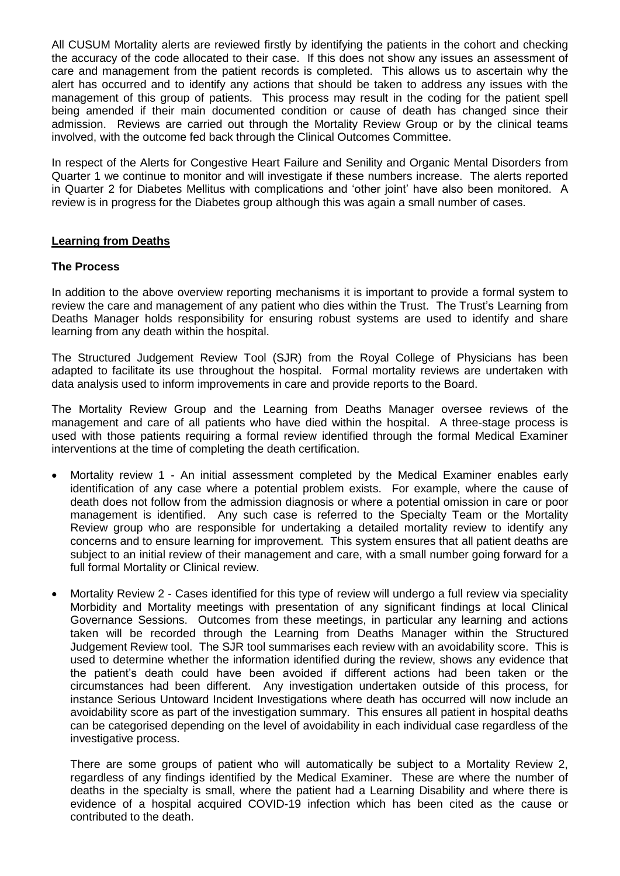All CUSUM Mortality alerts are reviewed firstly by identifying the patients in the cohort and checking the accuracy of the code allocated to their case. If this does not show any issues an assessment of care and management from the patient records is completed. This allows us to ascertain why the alert has occurred and to identify any actions that should be taken to address any issues with the management of this group of patients. This process may result in the coding for the patient spell being amended if their main documented condition or cause of death has changed since their admission. Reviews are carried out through the Mortality Review Group or by the clinical teams involved, with the outcome fed back through the Clinical Outcomes Committee.

In respect of the Alerts for Congestive Heart Failure and Senility and Organic Mental Disorders from Quarter 1 we continue to monitor and will investigate if these numbers increase. The alerts reported in Quarter 2 for Diabetes Mellitus with complications and 'other joint' have also been monitored. A review is in progress for the Diabetes group although this was again a small number of cases.

#### **Learning from Deaths**

#### **The Process**

In addition to the above overview reporting mechanisms it is important to provide a formal system to review the care and management of any patient who dies within the Trust. The Trust's Learning from Deaths Manager holds responsibility for ensuring robust systems are used to identify and share learning from any death within the hospital.

The Structured Judgement Review Tool (SJR) from the Royal College of Physicians has been adapted to facilitate its use throughout the hospital. Formal mortality reviews are undertaken with data analysis used to inform improvements in care and provide reports to the Board.

The Mortality Review Group and the Learning from Deaths Manager oversee reviews of the management and care of all patients who have died within the hospital. A three-stage process is used with those patients requiring a formal review identified through the formal Medical Examiner interventions at the time of completing the death certification.

- Mortality review 1 An initial assessment completed by the Medical Examiner enables early identification of any case where a potential problem exists. For example, where the cause of death does not follow from the admission diagnosis or where a potential omission in care or poor management is identified. Any such case is referred to the Specialty Team or the Mortality Review group who are responsible for undertaking a detailed mortality review to identify any concerns and to ensure learning for improvement. This system ensures that all patient deaths are subject to an initial review of their management and care, with a small number going forward for a full formal Mortality or Clinical review.
- Mortality Review 2 Cases identified for this type of review will undergo a full review via speciality Morbidity and Mortality meetings with presentation of any significant findings at local Clinical Governance Sessions. Outcomes from these meetings, in particular any learning and actions taken will be recorded through the Learning from Deaths Manager within the Structured Judgement Review tool. The SJR tool summarises each review with an avoidability score. This is used to determine whether the information identified during the review, shows any evidence that the patient's death could have been avoided if different actions had been taken or the circumstances had been different. Any investigation undertaken outside of this process, for instance Serious Untoward Incident Investigations where death has occurred will now include an avoidability score as part of the investigation summary. This ensures all patient in hospital deaths can be categorised depending on the level of avoidability in each individual case regardless of the investigative process.

There are some groups of patient who will automatically be subject to a Mortality Review 2, regardless of any findings identified by the Medical Examiner. These are where the number of deaths in the specialty is small, where the patient had a Learning Disability and where there is evidence of a hospital acquired COVID-19 infection which has been cited as the cause or contributed to the death.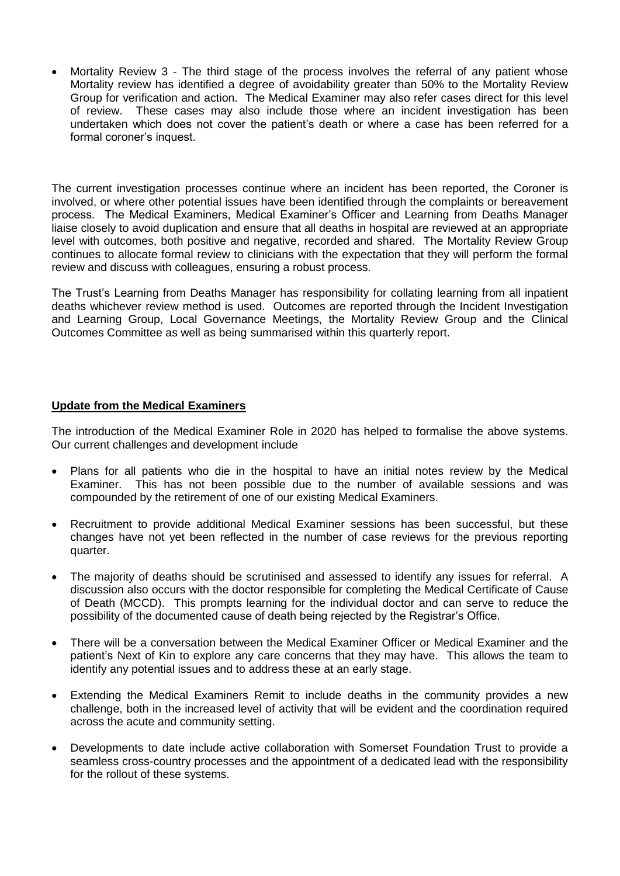Mortality Review 3 - The third stage of the process involves the referral of any patient whose Mortality review has identified a degree of avoidability greater than 50% to the Mortality Review Group for verification and action. The Medical Examiner may also refer cases direct for this level of review. These cases may also include those where an incident investigation has been undertaken which does not cover the patient's death or where a case has been referred for a formal coroner's inquest.

The current investigation processes continue where an incident has been reported, the Coroner is involved, or where other potential issues have been identified through the complaints or bereavement process. The Medical Examiners, Medical Examiner's Officer and Learning from Deaths Manager liaise closely to avoid duplication and ensure that all deaths in hospital are reviewed at an appropriate level with outcomes, both positive and negative, recorded and shared. The Mortality Review Group continues to allocate formal review to clinicians with the expectation that they will perform the formal review and discuss with colleagues, ensuring a robust process.

The Trust's Learning from Deaths Manager has responsibility for collating learning from all inpatient deaths whichever review method is used. Outcomes are reported through the Incident Investigation and Learning Group, Local Governance Meetings, the Mortality Review Group and the Clinical Outcomes Committee as well as being summarised within this quarterly report.

#### **Update from the Medical Examiners**

The introduction of the Medical Examiner Role in 2020 has helped to formalise the above systems. Our current challenges and development include

- Plans for all patients who die in the hospital to have an initial notes review by the Medical Examiner. This has not been possible due to the number of available sessions and was compounded by the retirement of one of our existing Medical Examiners.
- Recruitment to provide additional Medical Examiner sessions has been successful, but these changes have not yet been reflected in the number of case reviews for the previous reporting quarter.
- The majority of deaths should be scrutinised and assessed to identify any issues for referral. A discussion also occurs with the doctor responsible for completing the Medical Certificate of Cause of Death (MCCD). This prompts learning for the individual doctor and can serve to reduce the possibility of the documented cause of death being rejected by the Registrar's Office.
- There will be a conversation between the Medical Examiner Officer or Medical Examiner and the patient's Next of Kin to explore any care concerns that they may have. This allows the team to identify any potential issues and to address these at an early stage.
- Extending the Medical Examiners Remit to include deaths in the community provides a new challenge, both in the increased level of activity that will be evident and the coordination required across the acute and community setting.
- Developments to date include active collaboration with Somerset Foundation Trust to provide a seamless cross-country processes and the appointment of a dedicated lead with the responsibility for the rollout of these systems.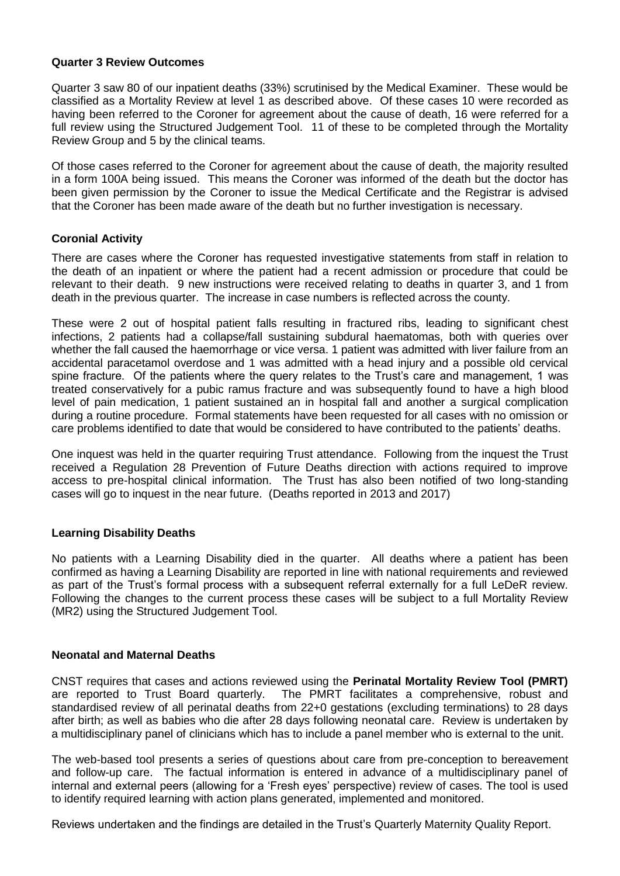#### **Quarter 3 Review Outcomes**

Quarter 3 saw 80 of our inpatient deaths (33%) scrutinised by the Medical Examiner. These would be classified as a Mortality Review at level 1 as described above. Of these cases 10 were recorded as having been referred to the Coroner for agreement about the cause of death, 16 were referred for a full review using the Structured Judgement Tool. 11 of these to be completed through the Mortality Review Group and 5 by the clinical teams.

Of those cases referred to the Coroner for agreement about the cause of death, the majority resulted in a form 100A being issued. This means the Coroner was informed of the death but the doctor has been given permission by the Coroner to issue the Medical Certificate and the Registrar is advised that the Coroner has been made aware of the death but no further investigation is necessary.

#### **Coronial Activity**

There are cases where the Coroner has requested investigative statements from staff in relation to the death of an inpatient or where the patient had a recent admission or procedure that could be relevant to their death. 9 new instructions were received relating to deaths in quarter 3, and 1 from death in the previous quarter. The increase in case numbers is reflected across the county.

These were 2 out of hospital patient falls resulting in fractured ribs, leading to significant chest infections, 2 patients had a collapse/fall sustaining subdural haematomas, both with queries over whether the fall caused the haemorrhage or vice versa. 1 patient was admitted with liver failure from an accidental paracetamol overdose and 1 was admitted with a head injury and a possible old cervical spine fracture. Of the patients where the query relates to the Trust's care and management, 1 was treated conservatively for a pubic ramus fracture and was subsequently found to have a high blood level of pain medication, 1 patient sustained an in hospital fall and another a surgical complication during a routine procedure. Formal statements have been requested for all cases with no omission or care problems identified to date that would be considered to have contributed to the patients' deaths.

One inquest was held in the quarter requiring Trust attendance. Following from the inquest the Trust received a Regulation 28 Prevention of Future Deaths direction with actions required to improve access to pre-hospital clinical information. The Trust has also been notified of two long-standing cases will go to inquest in the near future. (Deaths reported in 2013 and 2017)

#### **Learning Disability Deaths**

No patients with a Learning Disability died in the quarter. All deaths where a patient has been confirmed as having a Learning Disability are reported in line with national requirements and reviewed as part of the Trust's formal process with a subsequent referral externally for a full LeDeR review. Following the changes to the current process these cases will be subject to a full Mortality Review (MR2) using the Structured Judgement Tool.

#### **Neonatal and Maternal Deaths**

CNST requires that cases and actions reviewed using the **Perinatal Mortality Review Tool (PMRT)** are reported to Trust Board quarterly. The PMRT facilitates a comprehensive, robust and standardised review of all perinatal deaths from 22+0 gestations (excluding terminations) to 28 days after birth; as well as babies who die after 28 days following neonatal care. Review is undertaken by a multidisciplinary panel of clinicians which has to include a panel member who is external to the unit.

The web-based tool presents a series of questions about care from pre-conception to bereavement and follow-up care. The factual information is entered in advance of a multidisciplinary panel of internal and external peers (allowing for a 'Fresh eyes' perspective) review of cases. The tool is used to identify required learning with action plans generated, implemented and monitored.

Reviews undertaken and the findings are detailed in the Trust's Quarterly Maternity Quality Report.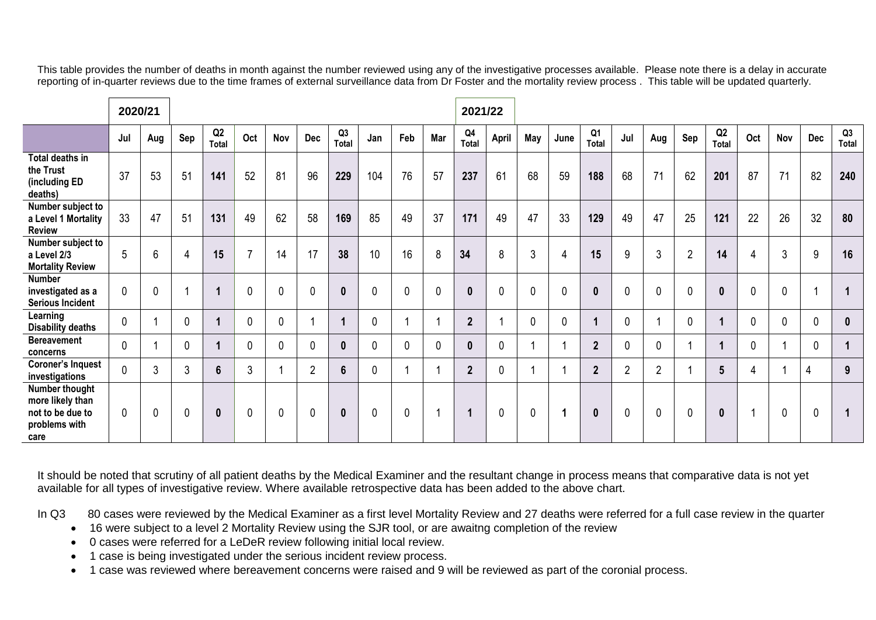This table provides the number of deaths in month against the number reviewed using any of the investigative processes available. Please note there is a delay in accurate reporting of in-quarter reviews due to the time frames of external surveillance data from Dr Foster and the mortality review process . This table will be updated quarterly.

|                                                                                 | 2020/21     |     |     |                      |                |             |                |                |     |             |     | 2021/22        |             |             |                |                         |                |                |                |                 |     |                |             |             |
|---------------------------------------------------------------------------------|-------------|-----|-----|----------------------|----------------|-------------|----------------|----------------|-----|-------------|-----|----------------|-------------|-------------|----------------|-------------------------|----------------|----------------|----------------|-----------------|-----|----------------|-------------|-------------|
|                                                                                 | Jul         | Aug | Sep | Q2<br>Total          | Oct            | Nov         | <b>Dec</b>     | Q3<br>Total    | Jan | Feb         | Mar | Q4<br>Total    | April       | May         | June           | Q <sub>1</sub><br>Total | Jul            | Aug            | Sep            | Q2<br>Total     | Oct | Nov            | <b>Dec</b>  | Q3<br>Total |
| Total deaths in<br>the Trust<br>(including ED<br>deaths)                        | 37          | 53  | 51  | 141                  | 52             | 81          | 96             | 229            | 104 | 76          | 57  | 237            | 61          | 68          | 59             | 188                     | 68             | 71             | 62             | 201             | 87  | 71             | 82          | 240         |
| Number subject to<br>a Level 1 Mortality<br><b>Review</b>                       | 33          | 47  | 51  | 131                  | 49             | 62          | 58             | 169            | 85  | 49          | 37  | 171            | 49          | 47          | 33             | 129                     | 49             | 47             | 25             | 121             | 22  | 26             | 32          | 80          |
| Number subject to<br>a Level 2/3<br><b>Mortality Review</b>                     | 5           | 6   | 4   | 15                   | $\overline{7}$ | 14          | 17             | 38             | 10  | 16          | 8   | 34             | 8           | 3           | $\overline{4}$ | 15                      | 9              | 3              | $\overline{2}$ | 14              | 4   | $\mathfrak{Z}$ | 9           | 16          |
| <b>Number</b><br>investigated as a<br><b>Serious Incident</b>                   | 0           | 0   | ۰   | 1                    | $\mathbf 0$    | $\mathbf 0$ | $\mathbf{0}$   | $\mathbf{0}$   | 0   | $\mathbf 0$ | 0   | $\bf{0}$       | $\mathbf 0$ | $\mathbf 0$ | $\mathbf 0$    | 0                       | 0              | $\mathbf 0$    | $\mathbf 0$    | $\mathbf 0$     | 0   | $\mathbf{0}$   |             |             |
| Learning<br><b>Disability deaths</b>                                            | 0           |     | 0   | $\blacktriangleleft$ | $\mathbf 0$    | 0           |                |                | 0   |             |     | $\overline{2}$ |             | $\mathbf 0$ | $\mathbf 0$    |                         | 0              |                | 0              | $\mathbf{1}$    | 0   | 0              | 0           | $\mathbf 0$ |
| <b>Bereavement</b><br>concerns                                                  | 0           |     | 0   | $\blacktriangleleft$ | 0              | 0           | $\mathbf{0}$   | $\bf{0}$       | 0   | 0           | 0   | $\bf{0}$       | $\mathbf 0$ |             |                | $\mathbf{2}$            | 0              | $\mathbf{0}$   |                | $\mathbf{1}$    | 0   |                | 0           |             |
| <b>Coroner's Inquest</b><br>investigations                                      | 0           | 3   | 3   | $6\phantom{1}$       | $\mathbf{3}$   |             | $\overline{2}$ | $6\phantom{1}$ | 0   |             |     | $\mathbf{2}$   | $\mathbf 0$ |             |                | $\overline{2}$          | $\overline{2}$ | $\overline{2}$ |                | $5\phantom{.0}$ | 4   |                | 4           | 9           |
| Number thought<br>more likely than<br>not to be due to<br>problems with<br>care | $\mathbf 0$ | 0   | 0   | $\mathbf{0}$         | $\mathbf 0$    | $\mathbf 0$ | $\mathbf 0$    | $\mathbf{0}$   | 0   | $\mathbf 0$ |     |                | $\mathbf 0$ | $\mathbf 0$ | 1              | 0                       | 0              | $\mathbf 0$    | $\mathbf 0$    | $\mathbf 0$     | 1   | $\mathbf 0$    | $\mathbf 0$ |             |

It should be noted that scrutiny of all patient deaths by the Medical Examiner and the resultant change in process means that comparative data is not yet available for all types of investigative review. Where available retrospective data has been added to the above chart.

In Q3 80 cases were reviewed by the Medical Examiner as a first level Mortality Review and 27 deaths were referred for a full case review in the quarter

- 16 were subject to a level 2 Mortality Review using the SJR tool, or are awaitng completion of the review
- 0 cases were referred for a LeDeR review following initial local review.
- 1 case is being investigated under the serious incident review process.
- 1 case was reviewed where bereavement concerns were raised and 9 will be reviewed as part of the coronial process.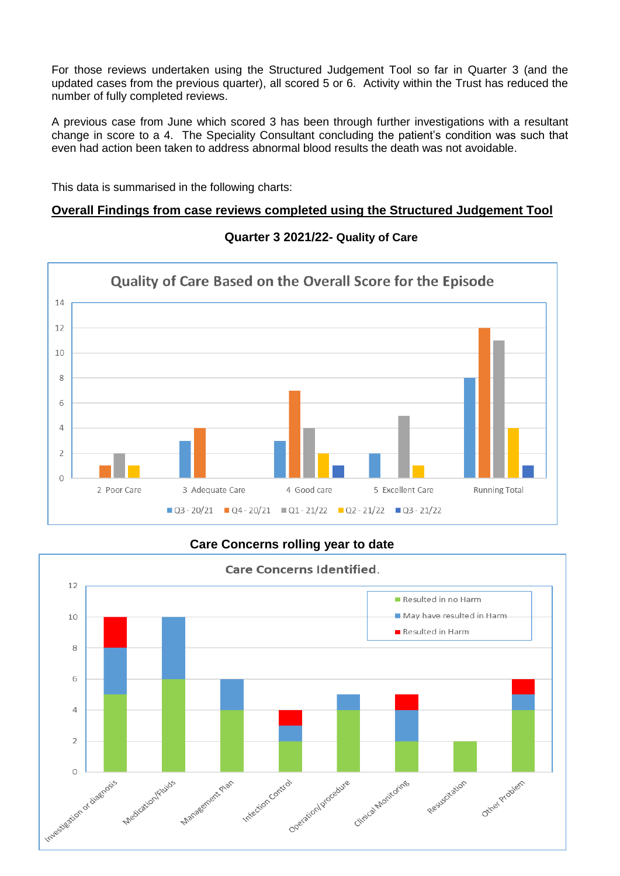For those reviews undertaken using the Structured Judgement Tool so far in Quarter 3 (and the updated cases from the previous quarter), all scored 5 or 6. Activity within the Trust has reduced the number of fully completed reviews.

A previous case from June which scored 3 has been through further investigations with a resultant change in score to a 4. The Speciality Consultant concluding the patient's condition was such that even had action been taken to address abnormal blood results the death was not avoidable.

This data is summarised in the following charts:

## **Overall Findings from case reviews completed using the Structured Judgement Tool**



#### **Quarter 3 2021/22- Quality of Care**

## **Care Concerns rolling year to date**

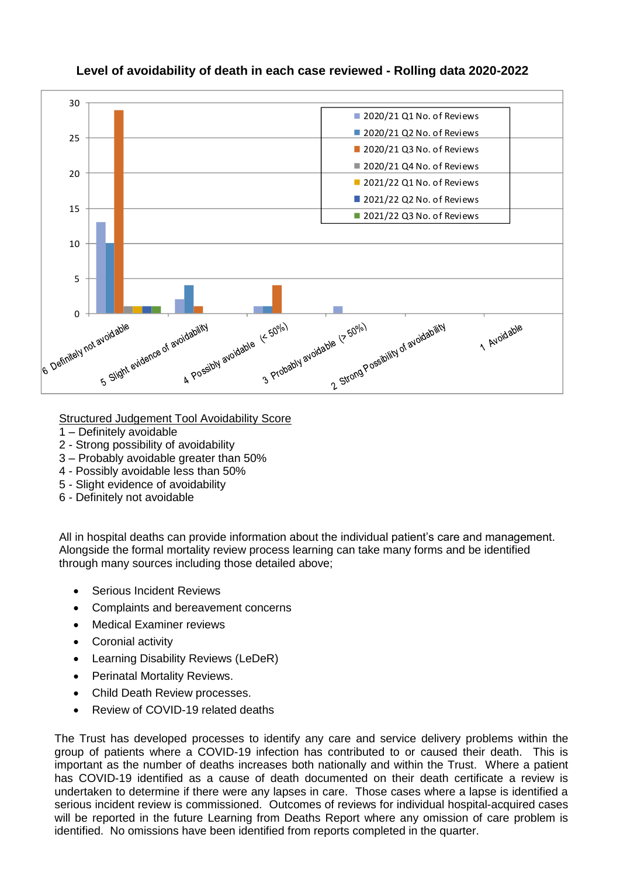

## **Level of avoidability of death in each case reviewed - Rolling data 2020-2022**

Structured Judgement Tool Avoidability Score

- 1 Definitely avoidable
- 2 Strong possibility of avoidability
- 3 Probably avoidable greater than 50%
- 4 Possibly avoidable less than 50%
- 5 Slight evidence of avoidability
- 6 Definitely not avoidable

All in hospital deaths can provide information about the individual patient's care and management. Alongside the formal mortality review process learning can take many forms and be identified through many sources including those detailed above;

- Serious Incident Reviews
- Complaints and bereavement concerns
- Medical Examiner reviews
- Coronial activity
- Learning Disability Reviews (LeDeR)
- Perinatal Mortality Reviews.
- Child Death Review processes.
- Review of COVID-19 related deaths

The Trust has developed processes to identify any care and service delivery problems within the group of patients where a COVID-19 infection has contributed to or caused their death. This is important as the number of deaths increases both nationally and within the Trust. Where a patient has COVID-19 identified as a cause of death documented on their death certificate a review is undertaken to determine if there were any lapses in care. Those cases where a lapse is identified a serious incident review is commissioned. Outcomes of reviews for individual hospital-acquired cases will be reported in the future Learning from Deaths Report where any omission of care problem is identified. No omissions have been identified from reports completed in the quarter.